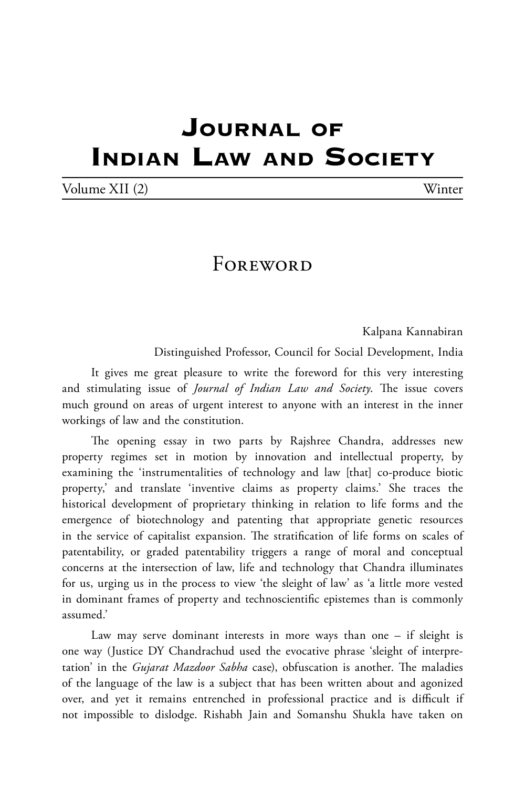## **Journal of Indian Law and Society**

| Volume XII (2) | Winter |
|----------------|--------|
|----------------|--------|

## **FOREWORD**

Kalpana Kannabiran

Distinguished Professor, Council for Social Development, India

It gives me great pleasure to write the foreword for this very interesting and stimulating issue of *Journal of Indian Law and Society*. The issue covers much ground on areas of urgent interest to anyone with an interest in the inner workings of law and the constitution.

The opening essay in two parts by Rajshree Chandra, addresses new property regimes set in motion by innovation and intellectual property, by examining the 'instrumentalities of technology and law [that] co-produce biotic property,' and translate 'inventive claims as property claims.' She traces the historical development of proprietary thinking in relation to life forms and the emergence of biotechnology and patenting that appropriate genetic resources in the service of capitalist expansion. The stratification of life forms on scales of patentability, or graded patentability triggers a range of moral and conceptual concerns at the intersection of law, life and technology that Chandra illuminates for us, urging us in the process to view 'the sleight of law' as 'a little more vested in dominant frames of property and technoscientific epistemes than is commonly assumed.'

Law may serve dominant interests in more ways than one – if sleight is one way (Justice DY Chandrachud used the evocative phrase 'sleight of interpretation' in the *Gujarat Mazdoor Sabha* case), obfuscation is another. The maladies of the language of the law is a subject that has been written about and agonized over, and yet it remains entrenched in professional practice and is difficult if not impossible to dislodge. Rishabh Jain and Somanshu Shukla have taken on